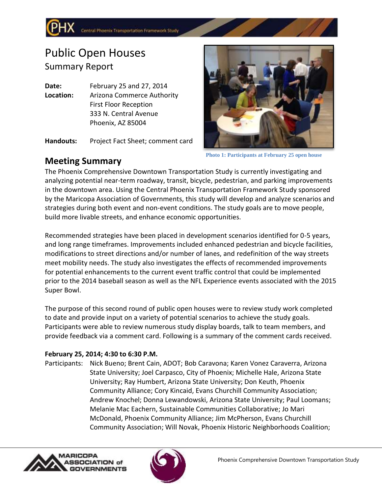# Public Open Houses Summary Report

**Date:** February 25 and 27, 2014 **Location:** Arizona Commerce Authority First Floor Reception 333 N. Central Avenue Phoenix, AZ 85004

**Handouts:** Project Fact Sheet; comment card



**Photo 1: Participants at February 25 open house**

# **Meeting Summary**

The Phoenix Comprehensive Downtown Transportation Study is currently investigating and analyzing potential near-term roadway, transit, bicycle, pedestrian, and parking improvements in the downtown area. Using the Central Phoenix Transportation Framework Study sponsored by the Maricopa Association of Governments, this study will develop and analyze scenarios and strategies during both event and non-event conditions. The study goals are to move people, build more livable streets, and enhance economic opportunities.

Recommended strategies have been placed in development scenarios identified for 0-5 years, and long range timeframes. Improvements included enhanced pedestrian and bicycle facilities, modifications to street directions and/or number of lanes, and redefinition of the way streets meet mobility needs. The study also investigates the effects of recommended improvements for potential enhancements to the current event traffic control that could be implemented prior to the 2014 baseball season as well as the NFL Experience events associated with the 2015 Super Bowl.

The purpose of this second round of public open houses were to review study work completed to date and provide input on a variety of potential scenarios to achieve the study goals. Participants were able to review numerous study display boards, talk to team members, and provide feedback via a comment card. Following is a summary of the comment cards received.

## **February 25, 2014; 4:30 to 6:30 P.M.**

Participants: Nick Bueno; Brent Cain, ADOT; Bob Caravona; Karen Vonez Caraverra, Arizona State University; Joel Carpasco, City of Phoenix; Michelle Hale, Arizona State University; Ray Humbert, Arizona State University; Don Keuth, Phoenix Community Alliance; Cory Kincaid, Evans Churchill Community Association; Andrew Knochel; Donna Lewandowski, Arizona State University; Paul Loomans; Melanie Mac Eachern, Sustainable Communities Collaborative; Jo Mari McDonald, Phoenix Community Alliance; Jim McPherson, Evans Churchill Community Association; Will Novak, Phoenix Historic Neighborhoods Coalition;



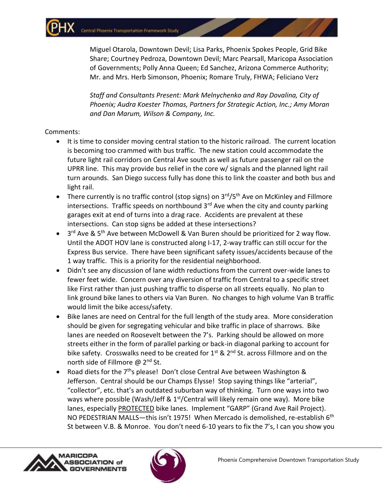Miguel Otarola, Downtown Devil; Lisa Parks, Phoenix Spokes People, Grid Bike Share; Courtney Pedroza, Downtown Devil; Marc Pearsall, Maricopa Association of Governments; Polly Anna Queen; Ed Sanchez, Arizona Commerce Authority; Mr. and Mrs. Herb Simonson, Phoenix; Romare Truly, FHWA; Feliciano Verz

*Staff and Consultants Present: Mark Melnychenko and Ray Dovalina, City of Phoenix; Audra Koester Thomas, Partners for Strategic Action, Inc.; Amy Moran and Dan Marum, Wilson & Company, Inc.*

#### Comments:

- It is time to consider moving central station to the historic railroad. The current location is becoming too crammed with bus traffic. The new station could accommodate the future light rail corridors on Central Ave south as well as future passenger rail on the UPRR line. This may provide bus relief in the core w/ signals and the planned light rail turn arounds. San Diego success fully has done this to link the coaster and both bus and light rail.
- There currently is no traffic control (stop signs) on  $3<sup>rd</sup>/5<sup>th</sup>$  Ave on McKinley and Fillmore intersections. Traffic speeds on northbound  $3<sup>rd</sup>$  Ave when the city and county parking garages exit at end of turns into a drag race. Accidents are prevalent at these intersections. Can stop signs be added at these intersections?
- $\bullet$  3<sup>rd</sup> Ave & 5<sup>th</sup> Ave between McDowell & Van Buren should be prioritized for 2 way flow. Until the ADOT HOV lane is constructed along I-17, 2-way traffic can still occur for the Express Bus service. There have been significant safety issues/accidents because of the 1 way traffic. This is a priority for the residential neighborhood.
- Didn't see any discussion of lane width reductions from the current over-wide lanes to fewer feet wide. Concern over any diversion of traffic from Central to a specific street like First rather than just pushing traffic to disperse on all streets equally. No plan to link ground bike lanes to others via Van Buren. No changes to high volume Van B traffic would limit the bike access/safety.
- Bike lanes are need on Central for the full length of the study area. More consideration should be given for segregating vehicular and bike traffic in place of sharrows. Bike lanes are needed on Roosevelt between the 7's. Parking should be allowed on more streets either in the form of parallel parking or back-in diagonal parking to account for bike safety. Crosswalks need to be created for  $1^{st}$  &  $2^{nd}$  St. across Fillmore and on the north side of Fillmore @ 2<sup>nd</sup> St.
- Road diets for the  $7<sup>th</sup>$ s please! Don't close Central Ave between Washington & Jefferson. Central should be our Champs Elysse! Stop saying things like "arterial", "collector", etc. that's an outdated suburban way of thinking. Turn one ways into two ways where possible (Wash/Jeff &  $1<sup>st</sup>/Central$  will likely remain one way). More bike lanes, especially PROTECTED bike lanes. Implement "GARP" (Grand Ave Rail Project). NO PEDESTRIAN MALLS—this isn't 1975! When Mercado is demolished, re-establish 6<sup>th</sup> St between V.B. & Monroe. You don't need 6-10 years to fix the 7's, I can you show you

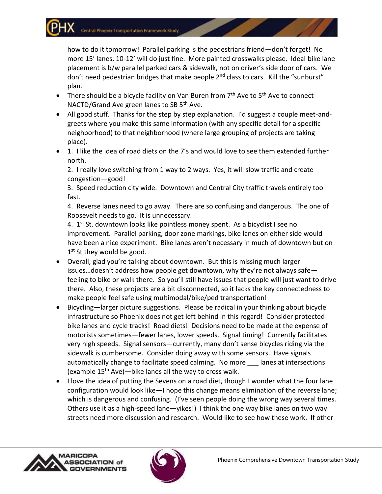how to do it tomorrow! Parallel parking is the pedestrians friend—don't forget! No more 15' lanes, 10-12' will do just fine. More painted crosswalks please. Ideal bike lane placement is b/w parallel parked cars & sidewalk, not on driver's side door of cars. We don't need pedestrian bridges that make people  $2^{nd}$  class to cars. Kill the "sunburst" plan.

- There should be a bicycle facility on Van Buren from 7<sup>th</sup> Ave to 5<sup>th</sup> Ave to connect NACTD/Grand Ave green lanes to SB 5<sup>th</sup> Ave.
- All good stuff. Thanks for the step by step explanation. I'd suggest a couple meet-andgreets where you make this same information (with any specific detail for a specific neighborhood) to that neighborhood (where large grouping of projects are taking place).
- 1. I like the idea of road diets on the 7's and would love to see them extended further north.

2. I really love switching from 1 way to 2 ways. Yes, it will slow traffic and create congestion—good!

3. Speed reduction city wide. Downtown and Central City traffic travels entirely too fast.

4. Reverse lanes need to go away. There are so confusing and dangerous. The one of Roosevelt needs to go. It is unnecessary.

4. 1<sup>st</sup> St. downtown looks like pointless money spent. As a bicyclist I see no improvement. Parallel parking, door zone markings, bike lanes on either side would have been a nice experiment. Bike lanes aren't necessary in much of downtown but on 1st St they would be good.

- Overall, glad you're talking about downtown. But this is missing much larger issues…doesn't address how people get downtown, why they're not always safe feeling to bike or walk there. So you'll still have issues that people will just want to drive there. Also, these projects are a bit disconnected, so it lacks the key connectedness to make people feel safe using multimodal/bike/ped transportation!
- Bicycling—larger picture suggestions. Please be radical in your thinking about bicycle infrastructure so Phoenix does not get left behind in this regard! Consider protected bike lanes and cycle tracks! Road diets! Decisions need to be made at the expense of motorists sometimes—fewer lanes, lower speeds. Signal timing! Currently facilitates very high speeds. Signal sensors—currently, many don't sense bicycles riding via the sidewalk is cumbersome. Consider doing away with some sensors. Have signals automatically change to facilitate speed calming. No more \_\_\_ lanes at intersections (example  $15<sup>th</sup>$  Ave)—bike lanes all the way to cross walk.
- I love the idea of putting the Sevens on a road diet, though I wonder what the four lane configuration would look like—I hope this change means elimination of the reverse lane; which is dangerous and confusing. (I've seen people doing the wrong way several times. Others use it as a high-speed lane—yikes!) I think the one way bike lanes on two way streets need more discussion and research. Would like to see how these work. If other



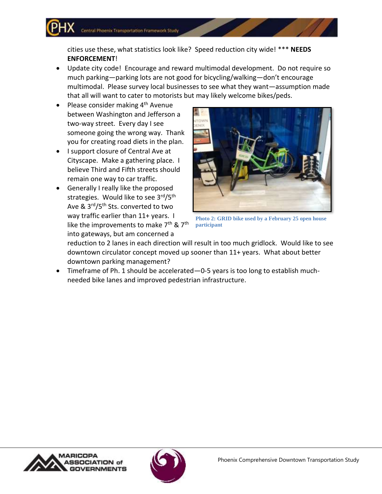cities use these, what statistics look like? Speed reduction city wide! \*\*\* **NEEDS ENFORCEMENT**!

- Update city code! Encourage and reward multimodal development. Do not require so much parking—parking lots are not good for bicycling/walking—don't encourage multimodal. Please survey local businesses to see what they want—assumption made that all will want to cater to motorists but may likely welcome bikes/peds.
- Please consider making  $4<sup>th</sup>$  Avenue between Washington and Jefferson a two-way street. Every day I see someone going the wrong way. Thank you for creating road diets in the plan.
- I support closure of Central Ave at Cityscape. Make a gathering place. I believe Third and Fifth streets should remain one way to car traffic.
- Generally I really like the proposed strategies. Would like to see 3rd/5th Ave & 3rd/5<sup>th</sup> Sts. converted to two way traffic earlier than 11+ years. I like the improvements to make  $7<sup>th</sup>$  &  $7<sup>th</sup>$ into gateways, but am concerned a



**Photo 2: GRID bike used by a February 25 open house participant**

reduction to 2 lanes in each direction will result in too much gridlock. Would like to see downtown circulator concept moved up sooner than 11+ years. What about better downtown parking management?

 Timeframe of Ph. 1 should be accelerated—0-5 years is too long to establish muchneeded bike lanes and improved pedestrian infrastructure.



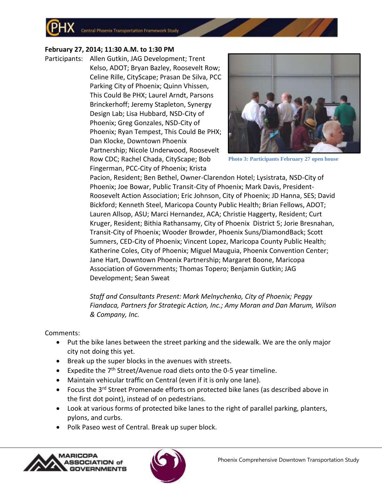Central Phoenix Transportation Framework Study

### **February 27, 2014; 11:30 A.M. to 1:30 PM**

Participants: Allen Gutkin, JAG Development; Trent Kelso, ADOT; Bryan Bazley, Roosevelt Row; Celine Rille, CityScape; Prasan De Silva, PCC Parking City of Phoenix; Quinn Vhissen, This Could Be PHX; Laurel Arndt, Parsons Brinckerhoff; Jeremy Stapleton, Synergy Design Lab; Lisa Hubbard, NSD-City of Phoenix; Greg Gonzales, NSD-City of Phoenix; Ryan Tempest, This Could Be PHX; Dan Klocke, Downtown Phoenix Partnership; Nicole Underwood, Roosevelt Row CDC; Rachel Chada, CityScape; Bob Fingerman, PCC-City of Phoenix; Krista



**Photo 3: Participants February 27 open house**

Pacion, Resident; Ben Bethel, Owner-Clarendon Hotel; Lysistrata, NSD-City of Phoenix; Joe Bowar, Public Transit-City of Phoenix; Mark Davis, President-Roosevelt Action Association; Eric Johnson, City of Phoenix; JD Hanna, SES; David Bickford; Kenneth Steel, Maricopa County Public Health; Brian Fellows, ADOT; Lauren Allsop, ASU; Marci Hernandez, ACA; Christie Haggerty, Resident; Curt Kruger, Resident; Bithia Rathansamy, City of Phoenix District 5; Jorie Bresnahan, Transit-City of Phoenix; Wooder Browder, Phoenix Suns/DiamondBack; Scott Sumners, CED-City of Phoenix; Vincent Lopez, Maricopa County Public Health; Katherine Coles, City of Phoenix; Miguel Mauguia, Phoenix Convention Center; Jane Hart, Downtown Phoenix Partnership; Margaret Boone, Maricopa Association of Governments; Thomas Topero; Benjamin Gutkin; JAG Development; Sean Sweat

*Staff and Consultants Present: Mark Melnychenko, City of Phoenix; Peggy Fiandaca, Partners for Strategic Action, Inc.; Amy Moran and Dan Marum, Wilson & Company, Inc.*

Comments:

- Put the bike lanes between the street parking and the sidewalk. We are the only major city not doing this yet.
- Break up the super blocks in the avenues with streets.
- Expedite the  $7<sup>th</sup>$  Street/Avenue road diets onto the 0-5 year timeline.
- Maintain vehicular traffic on Central (even if it is only one lane).
- Focus the 3<sup>rd</sup> Street Promenade efforts on protected bike lanes (as described above in the first dot point), instead of on pedestrians.
- Look at various forms of protected bike lanes to the right of parallel parking, planters, pylons, and curbs.
- Polk Paseo west of Central. Break up super block.



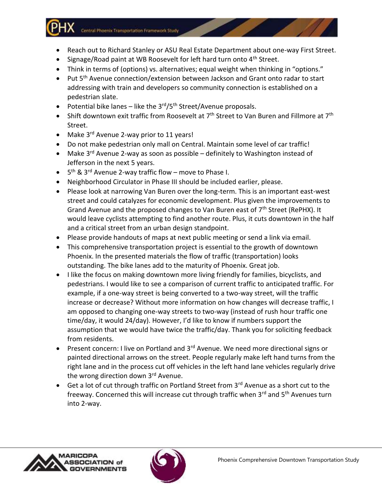Central Phoenix Transportation Framework Study

- Reach out to Richard Stanley or ASU Real Estate Department about one-way First Street.
- $\bullet$  Signage/Road paint at WB Roosevelt for left hard turn onto 4<sup>th</sup> Street.
- Think in terms of (options) vs. alternatives; equal weight when thinking in "options."
- Put 5<sup>th</sup> Avenue connection/extension between Jackson and Grant onto radar to start addressing with train and developers so community connection is established on a pedestrian slate.
- Potential bike lanes like the  $3<sup>rd</sup>/5<sup>th</sup>$  Street/Avenue proposals.
- Shift downtown exit traffic from Roosevelt at  $7<sup>th</sup>$  Street to Van Buren and Fillmore at  $7<sup>th</sup>$ Street.
- Make  $3^{rd}$  Avenue 2-way prior to 11 years!
- Do not make pedestrian only mall on Central. Maintain some level of car traffic!
- Make 3<sup>rd</sup> Avenue 2-way as soon as possible definitely to Washington instead of Jefferson in the next 5 years.
- 5<sup>th</sup> & 3<sup>rd</sup> Avenue 2-way traffic flow move to Phase I.
- Neighborhood Circulator in Phase III should be included earlier, please.
- Please look at narrowing Van Buren over the long-term. This is an important east-west street and could catalyzes for economic development. Plus given the improvements to Grand Avenue and the proposed changes to Van Buren east of  $7<sup>th</sup>$  Street (RePHX). It would leave cyclists attempting to find another route. Plus, it cuts downtown in the half and a critical street from an urban design standpoint.
- Please provide handouts of maps at next public meeting or send a link via email.
- This comprehensive transportation project is essential to the growth of downtown Phoenix. In the presented materials the flow of traffic (transportation) looks outstanding. The bike lanes add to the maturity of Phoenix. Great job.
- I like the focus on making downtown more living friendly for families, bicyclists, and pedestrians. I would like to see a comparison of current traffic to anticipated traffic. For example, if a one-way street is being converted to a two-way street, will the traffic increase or decrease? Without more information on how changes will decrease traffic, I am opposed to changing one-way streets to two-way (instead of rush hour traffic one time/day, it would 24/day). However, I'd like to know if numbers support the assumption that we would have twice the traffic/day. Thank you for soliciting feedback from residents.
- Present concern: I live on Portland and  $3<sup>rd</sup>$  Avenue. We need more directional signs or painted directional arrows on the street. People regularly make left hand turns from the right lane and in the process cut off vehicles in the left hand lane vehicles regularly drive the wrong direction down 3<sup>rd</sup> Avenue.
- Get a lot of cut through traffic on Portland Street from  $3^{rd}$  Avenue as a short cut to the freeway. Concerned this will increase cut through traffic when 3<sup>rd</sup> and 5<sup>th</sup> Avenues turn into 2-way.



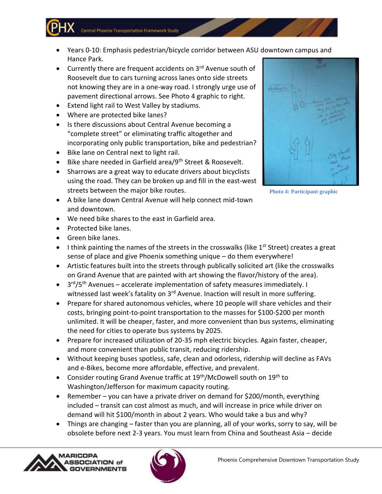Central Phoenix Transportation Framework Study

- Years 0-10: Emphasis pedestrian/bicycle corridor between ASU downtown campus and Hance Park.
- $\bullet$  Currently there are frequent accidents on 3<sup>rd</sup> Avenue south of Roosevelt due to cars turning across lanes onto side streets not knowing they are in a one-way road. I strongly urge use of pavement directional arrows. See Photo 4 graphic to right.
- Extend light rail to West Valley by stadiums.
- Where are protected bike lanes?
- Is there discussions about Central Avenue becoming a "complete street" or eliminating traffic altogether and incorporating only public transportation, bike and pedestrian?
- Bike lane on Central next to light rail.
- Bike share needed in Garfield area/9<sup>th</sup> Street & Roosevelt.
- Sharrows are a great way to educate drivers about bicyclists using the road. They can be broken up and fill in the east-west streets between the major bike routes.
- A bike lane down Central Avenue will help connect mid-town and downtown.
- We need bike shares to the east in Garfield area.
- Protected bike lanes.
- **Green bike lanes.**
- I think painting the names of the streets in the crosswalks (like  $1^{st}$  Street) creates a great sense of place and give Phoenix something unique – do them everywhere!
- Artistic features built into the streets through publically solicited art (like the crosswalks on Grand Avenue that are painted with art showing the flavor/history of the area).
- 3<sup>rd</sup>/5<sup>th</sup> Avenues accelerate implementation of safety measures immediately. I witnessed last week's fatality on 3<sup>rd</sup> Avenue. Inaction will result in more suffering.
- Prepare for shared autonomous vehicles, where 10 people will share vehicles and their costs, bringing point-to-point transportation to the masses for \$100-\$200 per month unlimited. It will be cheaper, faster, and more convenient than bus systems, eliminating the need for cities to operate bus systems by 2025.
- Prepare for increased utilization of 20-35 mph electric bicycles. Again faster, cheaper, and more convenient than public transit, reducing ridership.
- Without keeping buses spotless, safe, clean and odorless, ridership will decline as FAVs and e-Bikes, become more affordable, effective, and prevalent.
- Consider routing Grand Avenue traffic at  $19<sup>th</sup>/Mc$ Dowell south on  $19<sup>th</sup>$  to Washington/Jefferson for maximum capacity routing.
- Remember you can have a private driver on demand for \$200/month, everything included – transit can cost almost as much, and will increase in price while driver on demand will hit \$100/month in about 2 years. Who would take a bus and why?
- Things are changing faster than you are planning, all of your works, sorry to say, will be obsolete before next 2-3 years. You must learn from China and Southeast Asia – decide







**Photo 4: Participant graphic**